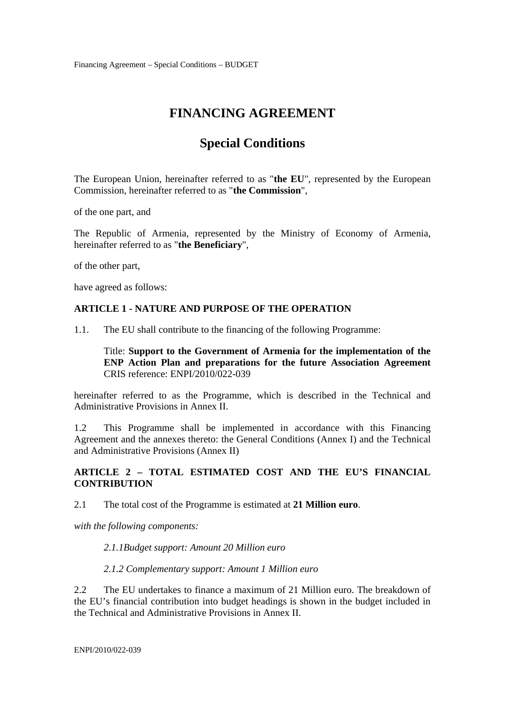# **FINANCING AGREEMENT**

# **Special Conditions**

The European Union, hereinafter referred to as "**the EU**", represented by the European Commission, hereinafter referred to as "**the Commission**",

of the one part, and

The Republic of Armenia, represented by the Ministry of Economy of Armenia, hereinafter referred to as "**the Beneficiary**",

of the other part,

have agreed as follows:

#### **ARTICLE 1 - NATURE AND PURPOSE OF THE OPERATION**

1.1. The EU shall contribute to the financing of the following Programme:

Title: **Support to the Government of Armenia for the implementation of the ENP Action Plan and preparations for the future Association Agreement**  CRIS reference: ENPI/2010/022-039

hereinafter referred to as the Programme, which is described in the Technical and Administrative Provisions in Annex II.

1.2 This Programme shall be implemented in accordance with this Financing Agreement and the annexes thereto: the General Conditions (Annex I) and the Technical and Administrative Provisions (Annex II)

# **ARTICLE 2 – TOTAL ESTIMATED COST AND THE EU'S FINANCIAL CONTRIBUTION**

2.1 The total cost of the Programme is estimated at **21 Million euro**.

*with the following components:* 

*2.1.1Budget support: Amount 20 Million euro* 

*2.1.2 Complementary support: Amount 1 Million euro* 

2.2 The EU undertakes to finance a maximum of 21 Million euro. The breakdown of the EU's financial contribution into budget headings is shown in the budget included in the Technical and Administrative Provisions in Annex II.

ENPI/2010/022-039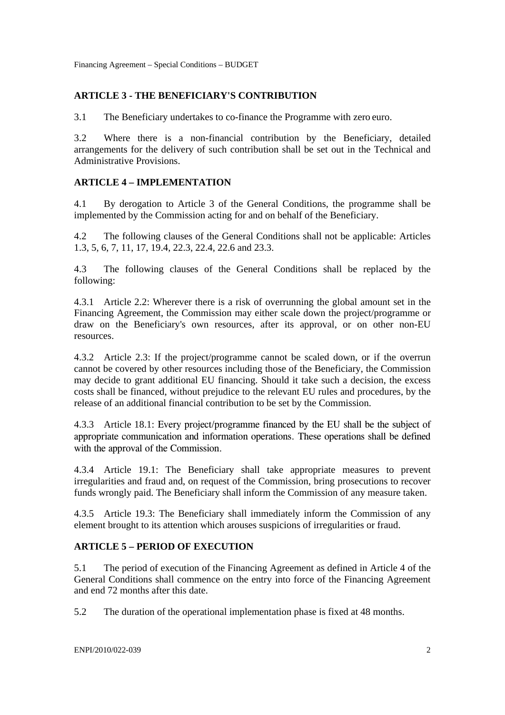# **ARTICLE 3 - THE BENEFICIARY'S CONTRIBUTION**

3.1 The Beneficiary undertakes to co-finance the Programme with zero euro.

3.2 Where there is a non-financial contribution by the Beneficiary, detailed arrangements for the delivery of such contribution shall be set out in the Technical and Administrative Provisions.

# **ARTICLE 4 – IMPLEMENTATION**

4.1 By derogation to Article 3 of the General Conditions, the programme shall be implemented by the Commission acting for and on behalf of the Beneficiary.

4.2 The following clauses of the General Conditions shall not be applicable: Articles 1.3, 5, 6, 7, 11, 17, 19.4, 22.3, 22.4, 22.6 and 23.3.

4.3 The following clauses of the General Conditions shall be replaced by the following:

4.3.1 Article 2.2: Wherever there is a risk of overrunning the global amount set in the Financing Agreement, the Commission may either scale down the project/programme or draw on the Beneficiary's own resources, after its approval, or on other non-EU resources.

4.3.2 Article 2.3: If the project/programme cannot be scaled down, or if the overrun cannot be covered by other resources including those of the Beneficiary, the Commission may decide to grant additional EU financing. Should it take such a decision, the excess costs shall be financed, without prejudice to the relevant EU rules and procedures, by the release of an additional financial contribution to be set by the Commission.

4.3.3 Article 18.1: Every project/programme financed by the EU shall be the subject of appropriate communication and information operations. These operations shall be defined with the approval of the Commission.

4.3.4 Article 19.1: The Beneficiary shall take appropriate measures to prevent irregularities and fraud and, on request of the Commission, bring prosecutions to recover funds wrongly paid. The Beneficiary shall inform the Commission of any measure taken.

4.3.5 Article 19.3: The Beneficiary shall immediately inform the Commission of any element brought to its attention which arouses suspicions of irregularities or fraud.

# **ARTICLE 5 – PERIOD OF EXECUTION**

5.1 The period of execution of the Financing Agreement as defined in Article 4 of the General Conditions shall commence on the entry into force of the Financing Agreement and end 72 months after this date.

5.2 The duration of the operational implementation phase is fixed at 48 months.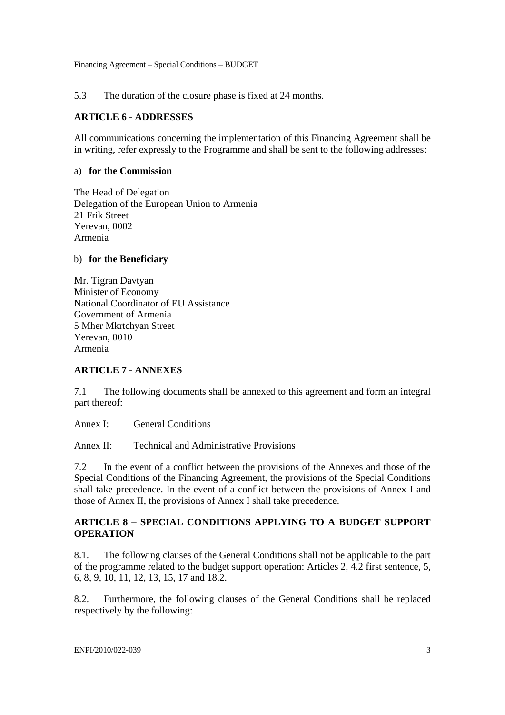#### 5.3 The duration of the closure phase is fixed at 24 months.

#### **ARTICLE 6 - ADDRESSES**

All communications concerning the implementation of this Financing Agreement shall be in writing, refer expressly to the Programme and shall be sent to the following addresses:

#### a) **for the Commission**

The Head of Delegation Delegation of the European Union to Armenia 21 Frik Street Yerevan, 0002 Armenia

#### b) **for the Beneficiary**

Mr. Tigran Davtyan Minister of Economy National Coordinator of EU Assistance Government of Armenia 5 Mher Mkrtchyan Street Yerevan, 0010 Armenia

## **ARTICLE 7 - ANNEXES**

7.1 The following documents shall be annexed to this agreement and form an integral part thereof:

Annex I: General Conditions

Annex II: Technical and Administrative Provisions

7.2 In the event of a conflict between the provisions of the Annexes and those of the Special Conditions of the Financing Agreement, the provisions of the Special Conditions shall take precedence. In the event of a conflict between the provisions of Annex I and those of Annex II, the provisions of Annex I shall take precedence.

# **ARTICLE 8 – SPECIAL CONDITIONS APPLYING TO A BUDGET SUPPORT OPERATION**

8.1. The following clauses of the General Conditions shall not be applicable to the part of the programme related to the budget support operation: Articles 2, 4.2 first sentence, 5, 6, 8, 9, 10, 11, 12, 13, 15, 17 and 18.2.

8.2. Furthermore, the following clauses of the General Conditions shall be replaced respectively by the following: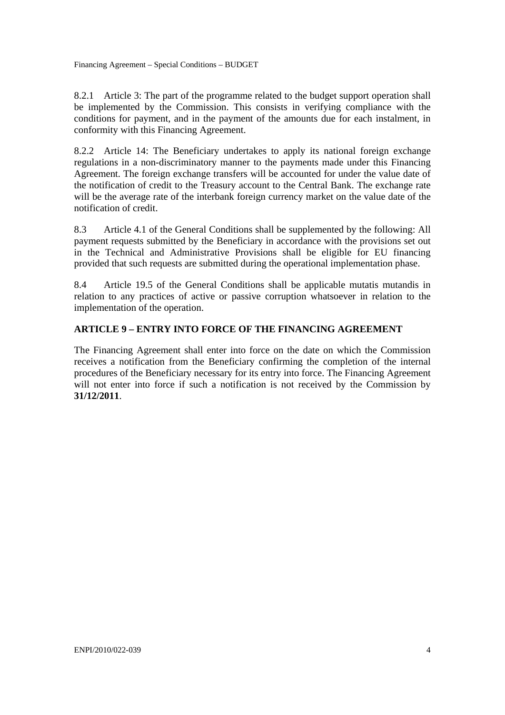8.2.1 Article 3: The part of the programme related to the budget support operation shall be implemented by the Commission. This consists in verifying compliance with the conditions for payment, and in the payment of the amounts due for each instalment, in conformity with this Financing Agreement.

8.2.2 Article 14: The Beneficiary undertakes to apply its national foreign exchange regulations in a non-discriminatory manner to the payments made under this Financing Agreement. The foreign exchange transfers will be accounted for under the value date of the notification of credit to the Treasury account to the Central Bank. The exchange rate will be the average rate of the interbank foreign currency market on the value date of the notification of credit.

8.3 Article 4.1 of the General Conditions shall be supplemented by the following: All payment requests submitted by the Beneficiary in accordance with the provisions set out in the Technical and Administrative Provisions shall be eligible for EU financing provided that such requests are submitted during the operational implementation phase.

8.4 Article 19.5 of the General Conditions shall be applicable mutatis mutandis in relation to any practices of active or passive corruption whatsoever in relation to the implementation of the operation.

## **ARTICLE 9 – ENTRY INTO FORCE OF THE FINANCING AGREEMENT**

The Financing Agreement shall enter into force on the date on which the Commission receives a notification from the Beneficiary confirming the completion of the internal procedures of the Beneficiary necessary for its entry into force. The Financing Agreement will not enter into force if such a notification is not received by the Commission by **31/12/2011**.